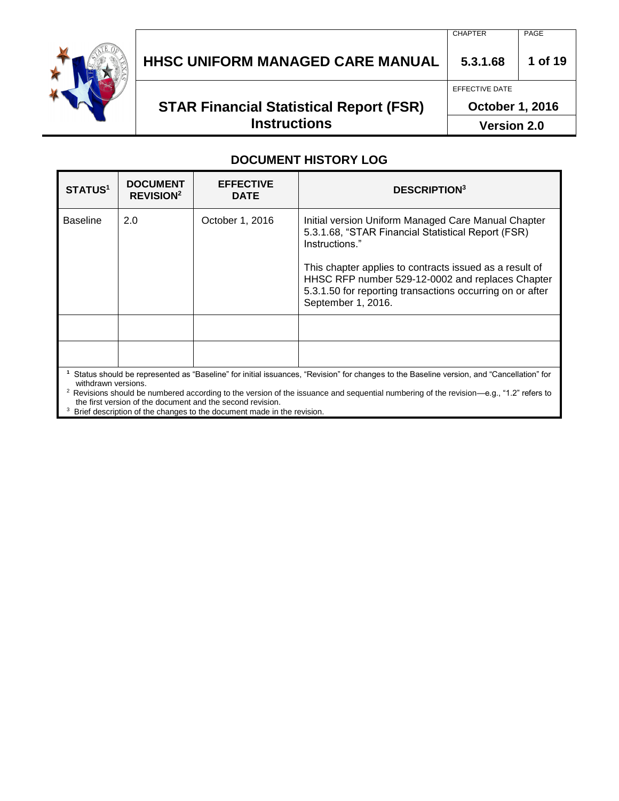

# **HHSC UNIFORM MANAGED CARE MANUAL 5.3.1.68 1 of 19**

# **STAR Financial Statistical Report (FSR) Instructions**

**October 1, 2016**

EFFECTIVE DATE

**Version 2.0**

#### **DOCUMENT HISTORY LOG**

| <b>STATUS1</b>  | <b>DOCUMENT</b><br><b>REVISION<sup>2</sup></b>                                                                                                                  | <b>EFFECTIVE</b><br><b>DATE</b> | <b>DESCRIPTION</b> <sup>3</sup>                                                                                                                                                                                                                                                                                               |  |
|-----------------|-----------------------------------------------------------------------------------------------------------------------------------------------------------------|---------------------------------|-------------------------------------------------------------------------------------------------------------------------------------------------------------------------------------------------------------------------------------------------------------------------------------------------------------------------------|--|
| <b>Baseline</b> | 2.0                                                                                                                                                             | October 1, 2016                 | Initial version Uniform Managed Care Manual Chapter<br>5.3.1.68, "STAR Financial Statistical Report (FSR)<br>Instructions."<br>This chapter applies to contracts issued as a result of<br>HHSC RFP number 529-12-0002 and replaces Chapter<br>5.3.1.50 for reporting transactions occurring on or after<br>September 1, 2016. |  |
|                 |                                                                                                                                                                 |                                 |                                                                                                                                                                                                                                                                                                                               |  |
|                 |                                                                                                                                                                 |                                 |                                                                                                                                                                                                                                                                                                                               |  |
|                 | Status should be represented as "Baseline" for initial issuances, "Revision" for changes to the Baseline version, and "Cancellation" for<br>withdrawn versions. |                                 |                                                                                                                                                                                                                                                                                                                               |  |

<sup>2</sup> Revisions should be numbered according to the version of the issuance and sequential numbering of the revision—e.g., "1.2" refers to the first version of the document and the second revision.

<sup>3</sup> Brief description of the changes to the document made in the revision.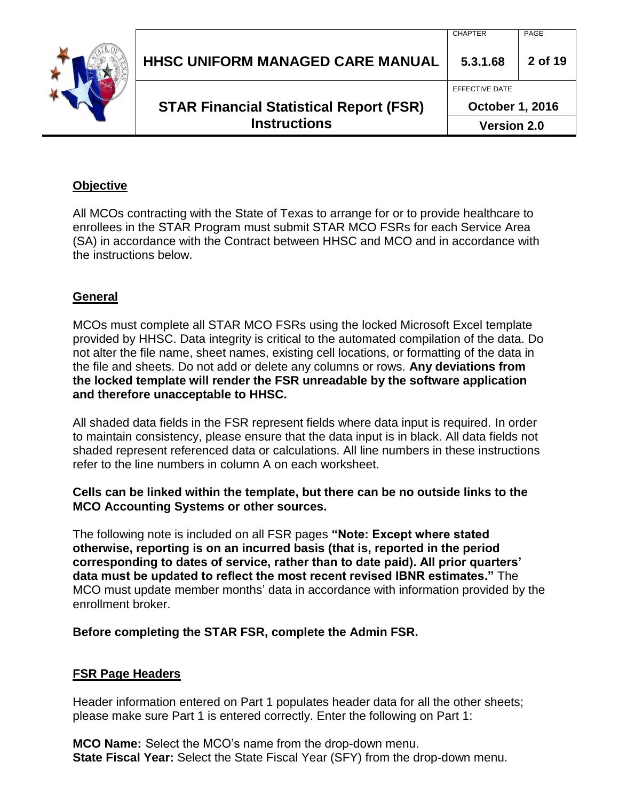| <b>STAR Financial Statistical Report (FSR)</b><br><b>Instructions</b> | <b>Version 2.0</b>                       |         |
|-----------------------------------------------------------------------|------------------------------------------|---------|
|                                                                       | EFFECTIVE DATE<br><b>October 1, 2016</b> |         |
| <b>HHSC UNIFORM MANAGED CARE MANUAL</b>                               | 5.3.1.68                                 | 2 of 19 |
|                                                                       | <b>CHAPTER</b>                           | PAGE    |

### **Objective**

All MCOs contracting with the State of Texas to arrange for or to provide healthcare to enrollees in the STAR Program must submit STAR MCO FSRs for each Service Area (SA) in accordance with the Contract between HHSC and MCO and in accordance with the instructions below.

## **General**

MCOs must complete all STAR MCO FSRs using the locked Microsoft Excel template provided by HHSC. Data integrity is critical to the automated compilation of the data. Do not alter the file name, sheet names, existing cell locations, or formatting of the data in the file and sheets. Do not add or delete any columns or rows. **Any deviations from the locked template will render the FSR unreadable by the software application and therefore unacceptable to HHSC.**

All shaded data fields in the FSR represent fields where data input is required. In order to maintain consistency, please ensure that the data input is in black. All data fields not shaded represent referenced data or calculations. All line numbers in these instructions refer to the line numbers in column A on each worksheet.

#### **Cells can be linked within the template, but there can be no outside links to the MCO Accounting Systems or other sources.**

The following note is included on all FSR pages **"Note: Except where stated otherwise, reporting is on an incurred basis (that is, reported in the period corresponding to dates of service, rather than to date paid). All prior quarters' data must be updated to reflect the most recent revised IBNR estimates."** The MCO must update member months' data in accordance with information provided by the enrollment broker.

#### **Before completing the STAR FSR, complete the Admin FSR.**

#### **FSR Page Headers**

Header information entered on Part 1 populates header data for all the other sheets; please make sure Part 1 is entered correctly. Enter the following on Part 1:

**MCO Name:** Select the MCO's name from the drop-down menu. **State Fiscal Year:** Select the State Fiscal Year (SFY) from the drop-down menu.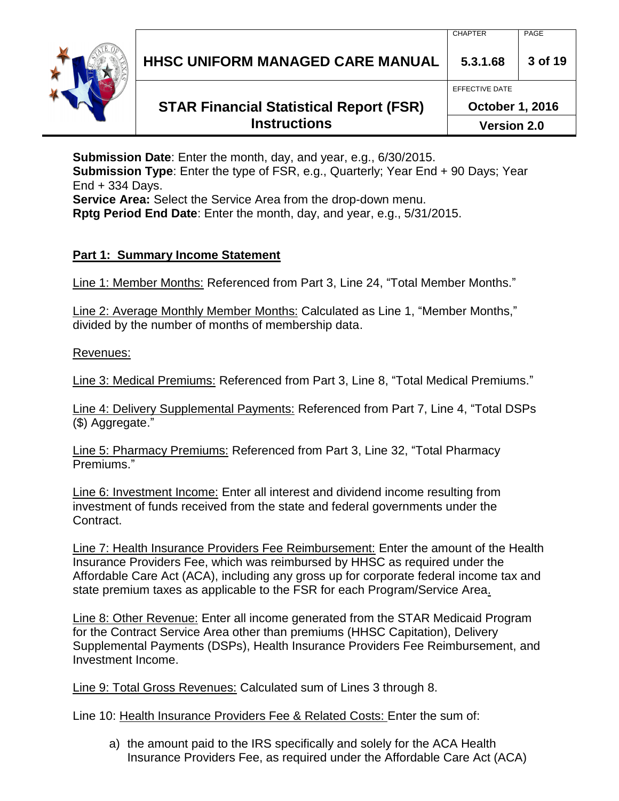**HHSC UNIFORM MANAGED CARE MANUAL 5.3.1.68 3 of 19**

# **STAR Financial Statistical Report (FSR) Instructions**

**October 1, 2016 Version 2.0**

**Submission Date**: Enter the month, day, and year, e.g., 6/30/2015.

**Submission Type**: Enter the type of FSR, e.g., Quarterly; Year End + 90 Days; Year End + 334 Days.

**Service Area:** Select the Service Area from the drop-down menu.

**Rptg Period End Date**: Enter the month, day, and year, e.g., 5/31/2015.

## **Part 1: Summary Income Statement**

Line 1: Member Months: Referenced from Part 3, Line 24, "Total Member Months."

Line 2: Average Monthly Member Months: Calculated as Line 1, "Member Months," divided by the number of months of membership data.

Revenues:

Line 3: Medical Premiums: Referenced from Part 3, Line 8, "Total Medical Premiums."

Line 4: Delivery Supplemental Payments: Referenced from Part 7, Line 4, "Total DSPs (\$) Aggregate."

Line 5: Pharmacy Premiums: Referenced from Part 3, Line 32, "Total Pharmacy Premiums."

Line 6: Investment Income: Enter all interest and dividend income resulting from investment of funds received from the state and federal governments under the Contract.

Line 7: Health Insurance Providers Fee Reimbursement: Enter the amount of the Health Insurance Providers Fee, which was reimbursed by HHSC as required under the Affordable Care Act (ACA), including any gross up for corporate federal income tax and state premium taxes as applicable to the FSR for each Program/Service Area.

Line 8: Other Revenue: Enter all income generated from the STAR Medicaid Program for the Contract Service Area other than premiums (HHSC Capitation), Delivery Supplemental Payments (DSPs), Health Insurance Providers Fee Reimbursement, and Investment Income.

Line 9: Total Gross Revenues: Calculated sum of Lines 3 through 8.

Line 10: Health Insurance Providers Fee & Related Costs: Enter the sum of:

a) the amount paid to the IRS specifically and solely for the ACA Health Insurance Providers Fee, as required under the Affordable Care Act (ACA)

EFFECTIVE DATE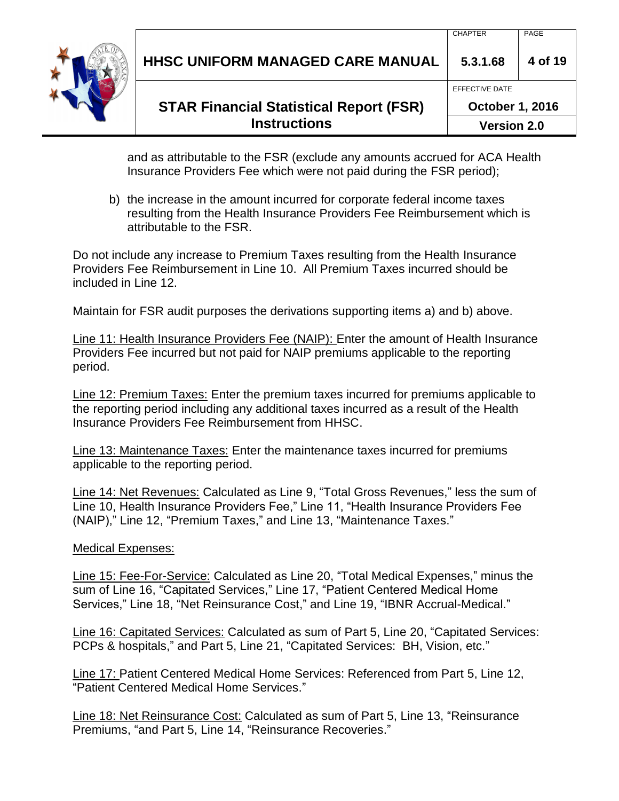| HHSC UNIFORM MANAGED CARE MANUAL | 5.3.1.68       | .<br>4 of 19 |
|----------------------------------|----------------|--------------|
|                                  | FFFFCTIVE DATE |              |

**October 1, 2016**

CHAPTER PAGE

**Version 2.0**

and as attributable to the FSR (exclude any amounts accrued for ACA Health Insurance Providers Fee which were not paid during the FSR period);

b) the increase in the amount incurred for corporate federal income taxes resulting from the Health Insurance Providers Fee Reimbursement which is attributable to the FSR.

Do not include any increase to Premium Taxes resulting from the Health Insurance Providers Fee Reimbursement in Line 10. All Premium Taxes incurred should be included in Line 12.

Maintain for FSR audit purposes the derivations supporting items a) and b) above.

Line 11: Health Insurance Providers Fee (NAIP): Enter the amount of Health Insurance Providers Fee incurred but not paid for NAIP premiums applicable to the reporting period.

Line 12: Premium Taxes: Enter the premium taxes incurred for premiums applicable to the reporting period including any additional taxes incurred as a result of the Health Insurance Providers Fee Reimbursement from HHSC.

Line 13: Maintenance Taxes: Enter the maintenance taxes incurred for premiums applicable to the reporting period.

Line 14: Net Revenues: Calculated as Line 9, "Total Gross Revenues," less the sum of Line 10, Health Insurance Providers Fee," Line 11, "Health Insurance Providers Fee (NAIP)," Line 12, "Premium Taxes," and Line 13, "Maintenance Taxes."

Medical Expenses:

Line 15: Fee-For-Service: Calculated as Line 20, "Total Medical Expenses," minus the sum of Line 16, "Capitated Services," Line 17, "Patient Centered Medical Home Services," Line 18, "Net Reinsurance Cost," and Line 19, "IBNR Accrual-Medical."

Line 16: Capitated Services: Calculated as sum of Part 5, Line 20, "Capitated Services: PCPs & hospitals," and Part 5, Line 21, "Capitated Services: BH, Vision, etc."

Line 17: Patient Centered Medical Home Services: Referenced from Part 5, Line 12, "Patient Centered Medical Home Services."

Line 18: Net Reinsurance Cost: Calculated as sum of Part 5, Line 13, "Reinsurance Premiums, "and Part 5, Line 14, "Reinsurance Recoveries."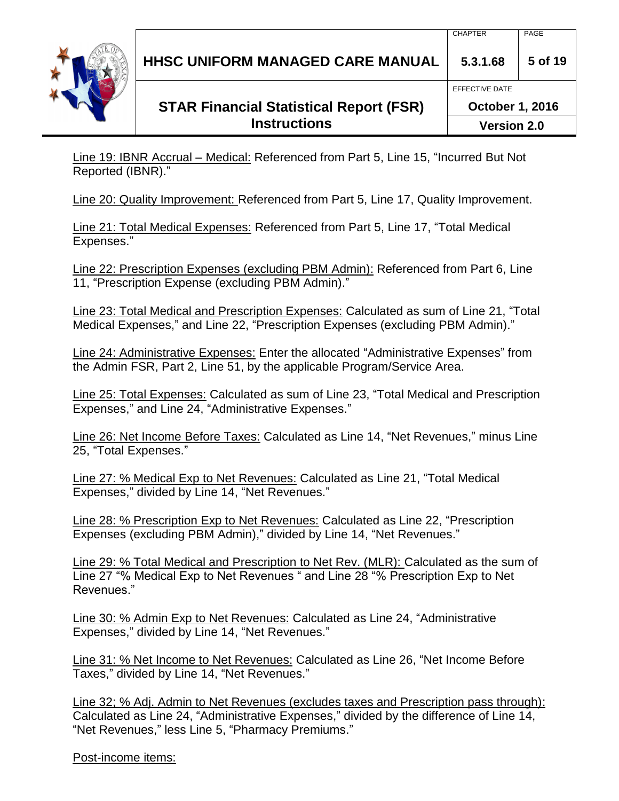**HHSC UNIFORM MANAGED CARE MANUAL 5.3.1.68 5 of 19**

# **STAR Financial Statistical Report (FSR) Instructions**

**Version 2.0**

**October 1, 2016**

Line 19: IBNR Accrual – Medical: Referenced from Part 5, Line 15, "Incurred But Not Reported (IBNR)."

Line 20: Quality Improvement: Referenced from Part 5, Line 17, Quality Improvement.

Line 21: Total Medical Expenses: Referenced from Part 5, Line 17, "Total Medical Expenses."

Line 22: Prescription Expenses (excluding PBM Admin): Referenced from Part 6, Line 11, "Prescription Expense (excluding PBM Admin)."

Line 23: Total Medical and Prescription Expenses: Calculated as sum of Line 21, "Total Medical Expenses," and Line 22, "Prescription Expenses (excluding PBM Admin)."

Line 24: Administrative Expenses: Enter the allocated "Administrative Expenses" from the Admin FSR, Part 2, Line 51, by the applicable Program/Service Area.

Line 25: Total Expenses: Calculated as sum of Line 23, "Total Medical and Prescription Expenses," and Line 24, "Administrative Expenses."

Line 26: Net Income Before Taxes: Calculated as Line 14, "Net Revenues," minus Line 25, "Total Expenses."

Line 27: % Medical Exp to Net Revenues: Calculated as Line 21, "Total Medical Expenses," divided by Line 14, "Net Revenues."

Line 28: % Prescription Exp to Net Revenues: Calculated as Line 22, "Prescription Expenses (excluding PBM Admin)," divided by Line 14, "Net Revenues."

Line 29: % Total Medical and Prescription to Net Rev. (MLR): Calculated as the sum of Line 27 "% Medical Exp to Net Revenues " and Line 28 "% Prescription Exp to Net Revenues."

Line 30: % Admin Exp to Net Revenues: Calculated as Line 24, "Administrative Expenses," divided by Line 14, "Net Revenues."

Line 31: % Net Income to Net Revenues: Calculated as Line 26, "Net Income Before Taxes," divided by Line 14, "Net Revenues."

Line 32; % Adj. Admin to Net Revenues (excludes taxes and Prescription pass through): Calculated as Line 24, "Administrative Expenses," divided by the difference of Line 14, "Net Revenues," less Line 5, "Pharmacy Premiums."

Post-income items:

EFFECTIVE DATE

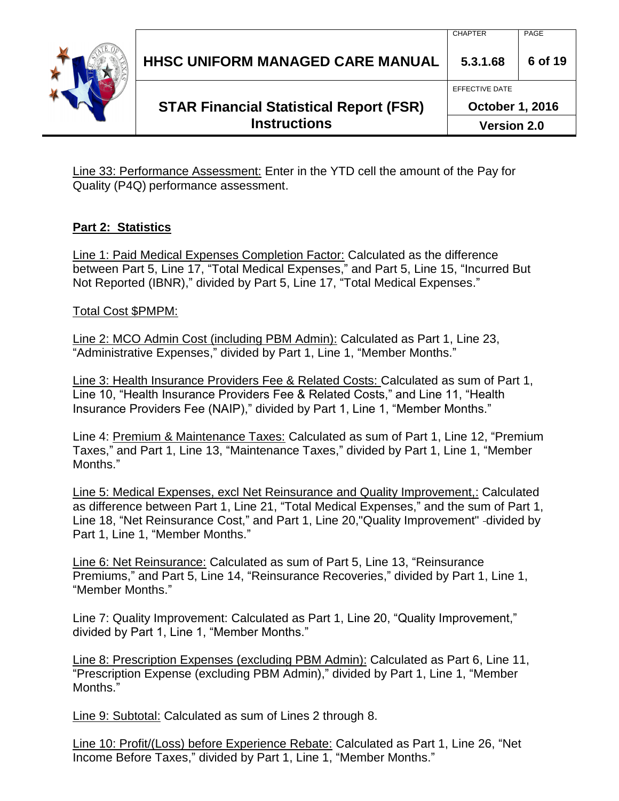

Line 33: Performance Assessment: Enter in the YTD cell the amount of the Pay for Quality (P4Q) performance assessment.

## **Part 2: Statistics**

Line 1: Paid Medical Expenses Completion Factor: Calculated as the difference between Part 5, Line 17, "Total Medical Expenses," and Part 5, Line 15, "Incurred But Not Reported (IBNR)," divided by Part 5, Line 17, "Total Medical Expenses."

Total Cost \$PMPM:

Line 2: MCO Admin Cost (including PBM Admin): Calculated as Part 1, Line 23, "Administrative Expenses," divided by Part 1, Line 1, "Member Months."

Line 3: Health Insurance Providers Fee & Related Costs: Calculated as sum of Part 1, Line 10, "Health Insurance Providers Fee & Related Costs," and Line 11, "Health Insurance Providers Fee (NAIP)," divided by Part 1, Line 1, "Member Months."

Line 4: Premium & Maintenance Taxes: Calculated as sum of Part 1, Line 12, "Premium Taxes," and Part 1, Line 13, "Maintenance Taxes," divided by Part 1, Line 1, "Member Months."

Line 5: Medical Expenses, excl Net Reinsurance and Quality Improvement,: Calculated as difference between Part 1, Line 21, "Total Medical Expenses," and the sum of Part 1, Line 18, "Net Reinsurance Cost," and Part 1, Line 20, "Quality Improvement" -divided by Part 1, Line 1, "Member Months."

Line 6: Net Reinsurance: Calculated as sum of Part 5, Line 13, "Reinsurance Premiums," and Part 5, Line 14, "Reinsurance Recoveries," divided by Part 1, Line 1, "Member Months."

Line 7: Quality Improvement: Calculated as Part 1, Line 20, "Quality Improvement," divided by Part 1, Line 1, "Member Months."

Line 8: Prescription Expenses (excluding PBM Admin): Calculated as Part 6, Line 11, "Prescription Expense (excluding PBM Admin)," divided by Part 1, Line 1, "Member Months."

Line 9: Subtotal: Calculated as sum of Lines 2 through 8.

Line 10: Profit/(Loss) before Experience Rebate: Calculated as Part 1, Line 26, "Net Income Before Taxes," divided by Part 1, Line 1, "Member Months."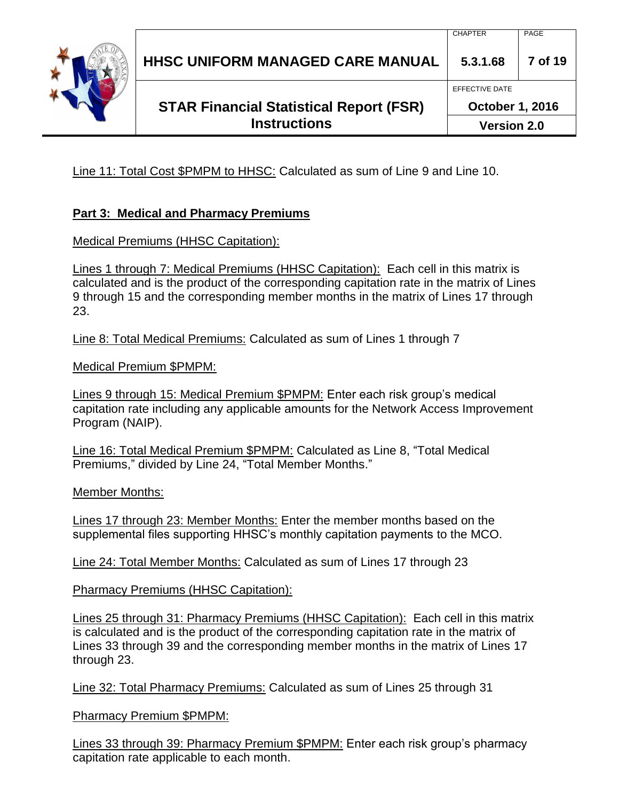

CHAPTER PAGE

EFFECTIVE DATE

Line 11: Total Cost \$PMPM to HHSC: Calculated as sum of Line 9 and Line 10.

## **Part 3: Medical and Pharmacy Premiums**

#### Medical Premiums (HHSC Capitation):

Lines 1 through 7: Medical Premiums (HHSC Capitation): Each cell in this matrix is calculated and is the product of the corresponding capitation rate in the matrix of Lines 9 through 15 and the corresponding member months in the matrix of Lines 17 through 23.

Line 8: Total Medical Premiums: Calculated as sum of Lines 1 through 7

Medical Premium \$PMPM:

Lines 9 through 15: Medical Premium \$PMPM: Enter each risk group's medical capitation rate including any applicable amounts for the Network Access Improvement Program (NAIP).

Line 16: Total Medical Premium \$PMPM: Calculated as Line 8, "Total Medical Premiums," divided by Line 24, "Total Member Months."

Member Months:

Lines 17 through 23: Member Months: Enter the member months based on the supplemental files supporting HHSC's monthly capitation payments to the MCO.

Line 24: Total Member Months: Calculated as sum of Lines 17 through 23

Pharmacy Premiums (HHSC Capitation):

Lines 25 through 31: Pharmacy Premiums (HHSC Capitation): Each cell in this matrix is calculated and is the product of the corresponding capitation rate in the matrix of Lines 33 through 39 and the corresponding member months in the matrix of Lines 17 through 23.

Line 32: Total Pharmacy Premiums: Calculated as sum of Lines 25 through 31

Pharmacy Premium \$PMPM:

Lines 33 through 39: Pharmacy Premium \$PMPM: Enter each risk group's pharmacy capitation rate applicable to each month.

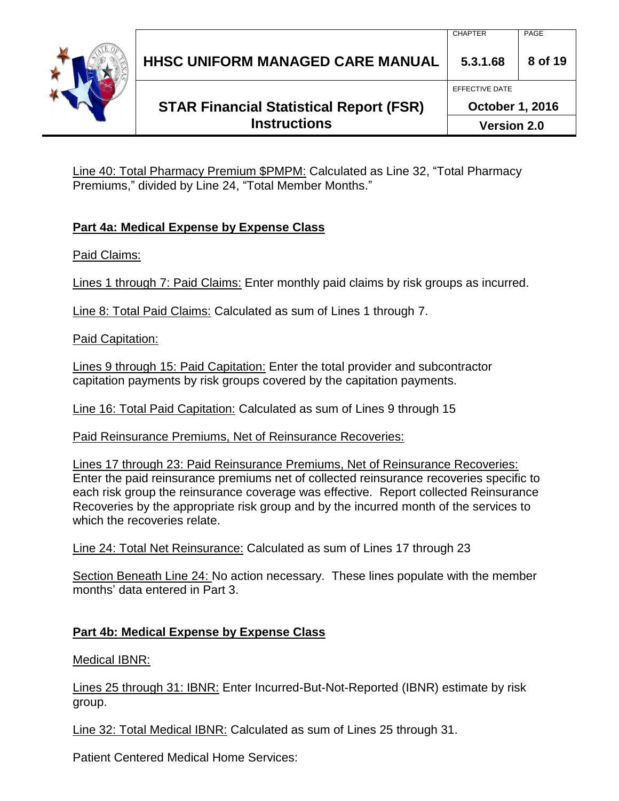

**October 1, 2016**

EFFECTIVE DATE

**Version 2.0**

Line 40: Total Pharmacy Premium \$PMPM: Calculated as Line 32, "Total Pharmacy Premiums," divided by Line 24, "Total Member Months."

## **Part 4a: Medical Expense by Expense Class**

Paid Claims:

Lines 1 through 7: Paid Claims: Enter monthly paid claims by risk groups as incurred.

Line 8: Total Paid Claims: Calculated as sum of Lines 1 through 7.

Paid Capitation:

Lines 9 through 15: Paid Capitation: Enter the total provider and subcontractor capitation payments by risk groups covered by the capitation payments.

Line 16: Total Paid Capitation: Calculated as sum of Lines 9 through 15

Paid Reinsurance Premiums, Net of Reinsurance Recoveries:

Lines 17 through 23: Paid Reinsurance Premiums, Net of Reinsurance Recoveries: Enter the paid reinsurance premiums net of collected reinsurance recoveries specific to each risk group the reinsurance coverage was effective. Report collected Reinsurance Recoveries by the appropriate risk group and by the incurred month of the services to which the recoveries relate.

Line 24: Total Net Reinsurance: Calculated as sum of Lines 17 through 23

Section Beneath Line 24: No action necessary. These lines populate with the member months' data entered in Part 3.

## **Part 4b: Medical Expense by Expense Class**

Medical IBNR:

Lines 25 through 31: IBNR: Enter Incurred-But-Not-Reported (IBNR) estimate by risk group.

Line 32: Total Medical IBNR: Calculated as sum of Lines 25 through 31.

Patient Centered Medical Home Services:

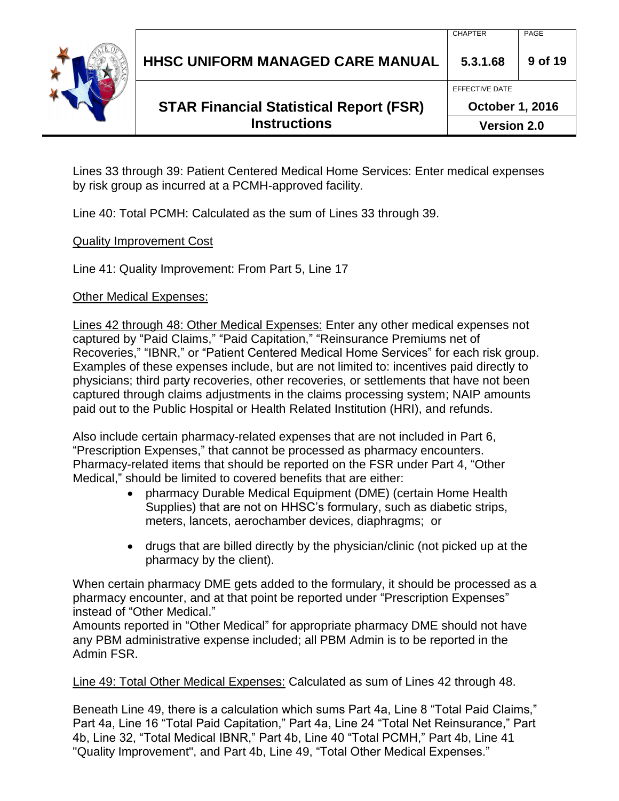

**October 1, 2016**

EFFECTIVE DATE

**Version 2.0**

Lines 33 through 39: Patient Centered Medical Home Services: Enter medical expenses by risk group as incurred at a PCMH-approved facility.

Line 40: Total PCMH: Calculated as the sum of Lines 33 through 39.

Quality Improvement Cost

Line 41: Quality Improvement: From Part 5, Line 17

Other Medical Expenses:

Lines 42 through 48: Other Medical Expenses: Enter any other medical expenses not captured by "Paid Claims," "Paid Capitation," "Reinsurance Premiums net of Recoveries," "IBNR," or "Patient Centered Medical Home Services" for each risk group. Examples of these expenses include, but are not limited to: incentives paid directly to physicians; third party recoveries, other recoveries, or settlements that have not been captured through claims adjustments in the claims processing system; NAIP amounts paid out to the Public Hospital or Health Related Institution (HRI), and refunds.

Also include certain pharmacy-related expenses that are not included in Part 6, "Prescription Expenses," that cannot be processed as pharmacy encounters. Pharmacy-related items that should be reported on the FSR under Part 4, "Other Medical," should be limited to covered benefits that are either:

- pharmacy Durable Medical Equipment (DME) (certain Home Health Supplies) that are not on HHSC's formulary, such as diabetic strips, meters, lancets, aerochamber devices, diaphragms; or
- drugs that are billed directly by the physician/clinic (not picked up at the pharmacy by the client).

When certain pharmacy DME gets added to the formulary, it should be processed as a pharmacy encounter, and at that point be reported under "Prescription Expenses" instead of "Other Medical."

Amounts reported in "Other Medical" for appropriate pharmacy DME should not have any PBM administrative expense included; all PBM Admin is to be reported in the Admin FSR.

Line 49: Total Other Medical Expenses: Calculated as sum of Lines 42 through 48.

Beneath Line 49, there is a calculation which sums Part 4a, Line 8 "Total Paid Claims," Part 4a, Line 16 "Total Paid Capitation," Part 4a, Line 24 "Total Net Reinsurance," Part 4b, Line 32, "Total Medical IBNR," Part 4b, Line 40 "Total PCMH," Part 4b, Line 41 "Quality Improvement", and Part 4b, Line 49, "Total Other Medical Expenses."

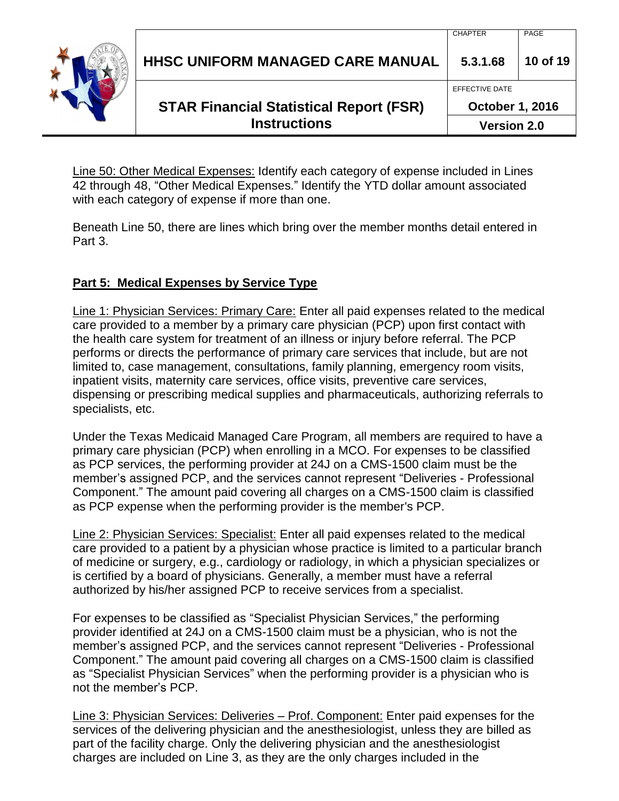| <b>HHSC UNIFORM MANAGED CARE MANUAL</b> | <b>UIIIN ILIV</b><br>5.3.1.68 | ,,,,<br>10 of 19 |
|-----------------------------------------|-------------------------------|------------------|
|                                         | EFFECTIVE DATE                |                  |

**October 1, 2016**

**Version 2.0**

CHAPTER PAGE

Line 50: Other Medical Expenses: Identify each category of expense included in Lines 42 through 48, "Other Medical Expenses." Identify the YTD dollar amount associated with each category of expense if more than one.

Beneath Line 50, there are lines which bring over the member months detail entered in Part 3.

# **Part 5: Medical Expenses by Service Type**

Line 1: Physician Services: Primary Care: Enter all paid expenses related to the medical care provided to a member by a primary care physician (PCP) upon first contact with the health care system for treatment of an illness or injury before referral. The PCP performs or directs the performance of primary care services that include, but are not limited to, case management, consultations, family planning, emergency room visits, inpatient visits, maternity care services, office visits, preventive care services, dispensing or prescribing medical supplies and pharmaceuticals, authorizing referrals to specialists, etc.

Under the Texas Medicaid Managed Care Program, all members are required to have a primary care physician (PCP) when enrolling in a MCO. For expenses to be classified as PCP services, the performing provider at 24J on a CMS-1500 claim must be the member's assigned PCP, and the services cannot represent "Deliveries - Professional Component." The amount paid covering all charges on a CMS-1500 claim is classified as PCP expense when the performing provider is the member's PCP.

Line 2: Physician Services: Specialist: Enter all paid expenses related to the medical care provided to a patient by a physician whose practice is limited to a particular branch of medicine or surgery, e.g., cardiology or radiology, in which a physician specializes or is certified by a board of physicians. Generally, a member must have a referral authorized by his/her assigned PCP to receive services from a specialist.

For expenses to be classified as "Specialist Physician Services," the performing provider identified at 24J on a CMS-1500 claim must be a physician, who is not the member's assigned PCP, and the services cannot represent "Deliveries - Professional Component." The amount paid covering all charges on a CMS-1500 claim is classified as "Specialist Physician Services" when the performing provider is a physician who is not the member's PCP.

Line 3: Physician Services: Deliveries – Prof. Component: Enter paid expenses for the services of the delivering physician and the anesthesiologist, unless they are billed as part of the facility charge. Only the delivering physician and the anesthesiologist charges are included on Line 3, as they are the only charges included in the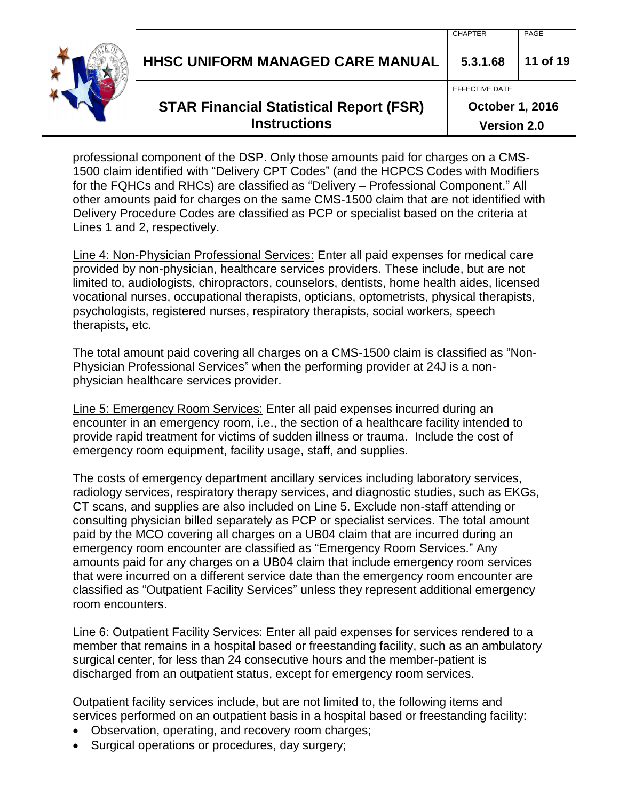| <b>HHSC UNIFORM MANAGED CARE MANUAL</b><br><b>STAR Financial Statistical Report (FSR)</b> | 5.3.1.68<br>EFFECTIVE DATE<br><b>October 1, 2016</b> | 11 of 19 |
|-------------------------------------------------------------------------------------------|------------------------------------------------------|----------|
| <b>Instructions</b>                                                                       | <b>Version 2.0</b>                                   |          |

professional component of the DSP. Only those amounts paid for charges on a CMS-1500 claim identified with "Delivery CPT Codes" (and the HCPCS Codes with Modifiers for the FQHCs and RHCs) are classified as "Delivery – Professional Component." All other amounts paid for charges on the same CMS-1500 claim that are not identified with Delivery Procedure Codes are classified as PCP or specialist based on the criteria at Lines 1 and 2, respectively.

Line 4: Non-Physician Professional Services: Enter all paid expenses for medical care provided by non-physician, healthcare services providers. These include, but are not limited to, audiologists, chiropractors, counselors, dentists, home health aides, licensed vocational nurses, occupational therapists, opticians, optometrists, physical therapists, psychologists, registered nurses, respiratory therapists, social workers, speech therapists, etc.

The total amount paid covering all charges on a CMS-1500 claim is classified as "Non-Physician Professional Services" when the performing provider at 24J is a nonphysician healthcare services provider.

Line 5: Emergency Room Services: Enter all paid expenses incurred during an encounter in an emergency room, i.e., the section of a healthcare facility intended to provide rapid treatment for victims of sudden illness or trauma. Include the cost of emergency room equipment, facility usage, staff, and supplies.

The costs of emergency department ancillary services including laboratory services, radiology services, respiratory therapy services, and diagnostic studies, such as EKGs, CT scans, and supplies are also included on Line 5. Exclude non-staff attending or consulting physician billed separately as PCP or specialist services. The total amount paid by the MCO covering all charges on a UB04 claim that are incurred during an emergency room encounter are classified as "Emergency Room Services." Any amounts paid for any charges on a UB04 claim that include emergency room services that were incurred on a different service date than the emergency room encounter are classified as "Outpatient Facility Services" unless they represent additional emergency room encounters.

Line 6: Outpatient Facility Services: Enter all paid expenses for services rendered to a member that remains in a hospital based or freestanding facility, such as an ambulatory surgical center, for less than 24 consecutive hours and the member-patient is discharged from an outpatient status, except for emergency room services.

Outpatient facility services include, but are not limited to, the following items and services performed on an outpatient basis in a hospital based or freestanding facility:

- Observation, operating, and recovery room charges;
- Surgical operations or procedures, day surgery;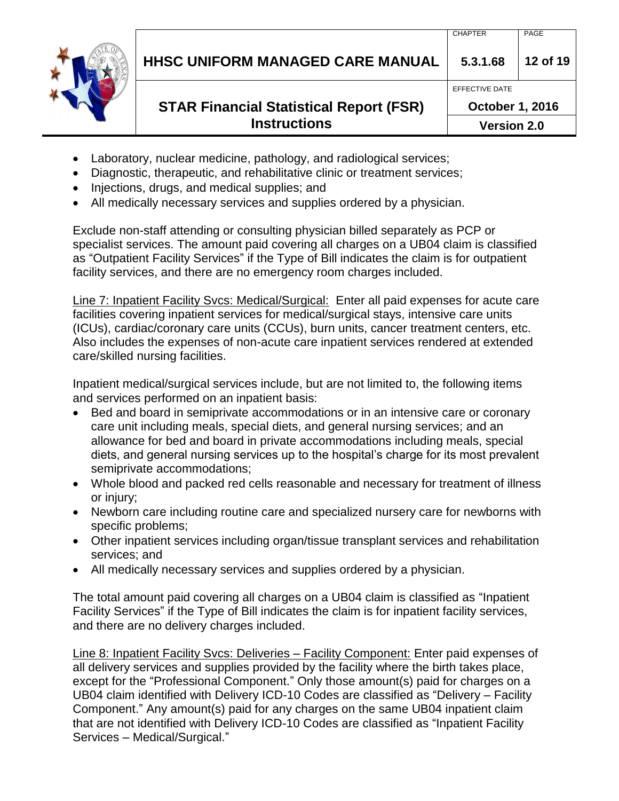**HHSC UNIFORM MANAGED CARE MANUAL 5.3.1.68 12 of 19**

# **STAR Financial Statistical Report (FSR) Instructions**

- Laboratory, nuclear medicine, pathology, and radiological services;
- Diagnostic, therapeutic, and rehabilitative clinic or treatment services;
- Injections, drugs, and medical supplies; and
- All medically necessary services and supplies ordered by a physician.

Exclude non-staff attending or consulting physician billed separately as PCP or specialist services. The amount paid covering all charges on a UB04 claim is classified as "Outpatient Facility Services" if the Type of Bill indicates the claim is for outpatient facility services, and there are no emergency room charges included.

Line 7: Inpatient Facility Svcs: Medical/Surgical: Enter all paid expenses for acute care facilities covering inpatient services for medical/surgical stays, intensive care units (ICUs), cardiac/coronary care units (CCUs), burn units, cancer treatment centers, etc. Also includes the expenses of non-acute care inpatient services rendered at extended care/skilled nursing facilities.

Inpatient medical/surgical services include, but are not limited to, the following items and services performed on an inpatient basis:

- Bed and board in semiprivate accommodations or in an intensive care or coronary care unit including meals, special diets, and general nursing services; and an allowance for bed and board in private accommodations including meals, special diets, and general nursing services up to the hospital's charge for its most prevalent semiprivate accommodations;
- Whole blood and packed red cells reasonable and necessary for treatment of illness or injury;
- Newborn care including routine care and specialized nursery care for newborns with specific problems;
- Other inpatient services including organ/tissue transplant services and rehabilitation services; and
- All medically necessary services and supplies ordered by a physician.

The total amount paid covering all charges on a UB04 claim is classified as "Inpatient Facility Services" if the Type of Bill indicates the claim is for inpatient facility services, and there are no delivery charges included.

Line 8: Inpatient Facility Svcs: Deliveries – Facility Component: Enter paid expenses of all delivery services and supplies provided by the facility where the birth takes place, except for the "Professional Component." Only those amount(s) paid for charges on a UB04 claim identified with Delivery ICD-10 Codes are classified as "Delivery – Facility Component." Any amount(s) paid for any charges on the same UB04 inpatient claim that are not identified with Delivery ICD-10 Codes are classified as "Inpatient Facility Services – Medical/Surgical."

EFFECTIVE DATE

**October 1, 2016**

**Version 2.0**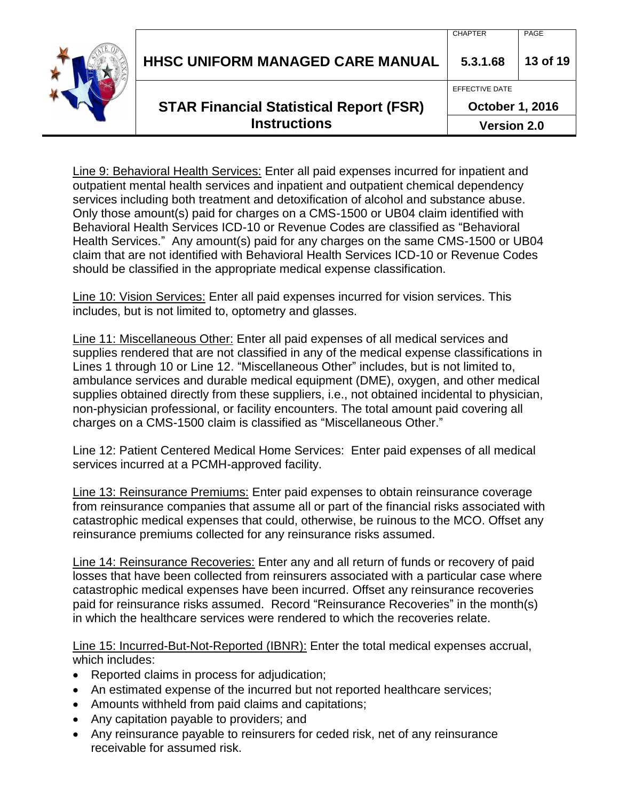| <b>Instructions</b>                            | <b>Version 2.0</b>     |          |
|------------------------------------------------|------------------------|----------|
| <b>STAR Financial Statistical Report (FSR)</b> | <b>October 1, 2016</b> |          |
|                                                | EFFECTIVE DATE         |          |
| <b>HHSC UNIFORM MANAGED CARE MANUAL</b>        | 5.3.1.68               | 13 of 19 |
|                                                | <b>CHAPTER</b>         | PAGE     |

Line 9: Behavioral Health Services: Enter all paid expenses incurred for inpatient and outpatient mental health services and inpatient and outpatient chemical dependency services including both treatment and detoxification of alcohol and substance abuse. Only those amount(s) paid for charges on a CMS-1500 or UB04 claim identified with Behavioral Health Services ICD-10 or Revenue Codes are classified as "Behavioral Health Services." Any amount(s) paid for any charges on the same CMS-1500 or UB04 claim that are not identified with Behavioral Health Services ICD-10 or Revenue Codes should be classified in the appropriate medical expense classification.

Line 10: Vision Services: Enter all paid expenses incurred for vision services. This includes, but is not limited to, optometry and glasses.

Line 11: Miscellaneous Other: Enter all paid expenses of all medical services and supplies rendered that are not classified in any of the medical expense classifications in Lines 1 through 10 or Line 12. "Miscellaneous Other" includes, but is not limited to, ambulance services and durable medical equipment (DME), oxygen, and other medical supplies obtained directly from these suppliers, i.e., not obtained incidental to physician, non-physician professional, or facility encounters. The total amount paid covering all charges on a CMS-1500 claim is classified as "Miscellaneous Other."

Line 12: Patient Centered Medical Home Services: Enter paid expenses of all medical services incurred at a PCMH-approved facility.

Line 13: Reinsurance Premiums: Enter paid expenses to obtain reinsurance coverage from reinsurance companies that assume all or part of the financial risks associated with catastrophic medical expenses that could, otherwise, be ruinous to the MCO. Offset any reinsurance premiums collected for any reinsurance risks assumed.

Line 14: Reinsurance Recoveries: Enter any and all return of funds or recovery of paid losses that have been collected from reinsurers associated with a particular case where catastrophic medical expenses have been incurred. Offset any reinsurance recoveries paid for reinsurance risks assumed. Record "Reinsurance Recoveries" in the month(s) in which the healthcare services were rendered to which the recoveries relate.

Line 15: Incurred-But-Not-Reported (IBNR): Enter the total medical expenses accrual, which includes:

- Reported claims in process for adjudication;
- An estimated expense of the incurred but not reported healthcare services;
- Amounts withheld from paid claims and capitations;
- Any capitation payable to providers; and
- Any reinsurance payable to reinsurers for ceded risk, net of any reinsurance receivable for assumed risk.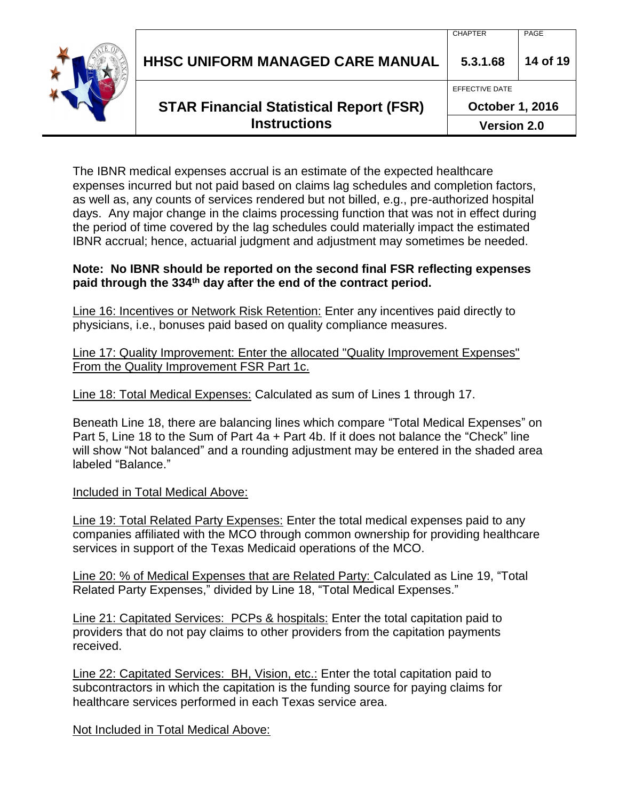| <b>STAR Financial Statistical Report (FSR)</b><br><b>Instructions</b> | EFFECTIVE DATE<br><b>October 1, 2016</b><br><b>Version 2.0</b> |          |
|-----------------------------------------------------------------------|----------------------------------------------------------------|----------|
| <b>HHSC UNIFORM MANAGED CARE MANUAL</b>                               | 5.3.1.68                                                       | 14 of 19 |
|                                                                       | <b>CHAPTER</b>                                                 | PAGE     |

The IBNR medical expenses accrual is an estimate of the expected healthcare expenses incurred but not paid based on claims lag schedules and completion factors, as well as, any counts of services rendered but not billed, e.g., pre-authorized hospital days. Any major change in the claims processing function that was not in effect during the period of time covered by the lag schedules could materially impact the estimated IBNR accrual; hence, actuarial judgment and adjustment may sometimes be needed.

#### **Note: No IBNR should be reported on the second final FSR reflecting expenses paid through the 334th day after the end of the contract period.**

Line 16: Incentives or Network Risk Retention: Enter any incentives paid directly to physicians, i.e., bonuses paid based on quality compliance measures.

Line 17: Quality Improvement: Enter the allocated "Quality Improvement Expenses" From the Quality Improvement FSR Part 1c.

Line 18: Total Medical Expenses: Calculated as sum of Lines 1 through 17.

Beneath Line 18, there are balancing lines which compare "Total Medical Expenses" on Part 5, Line 18 to the Sum of Part 4a + Part 4b. If it does not balance the "Check" line will show "Not balanced" and a rounding adjustment may be entered in the shaded area labeled "Balance."

Included in Total Medical Above:

Line 19: Total Related Party Expenses: Enter the total medical expenses paid to any companies affiliated with the MCO through common ownership for providing healthcare services in support of the Texas Medicaid operations of the MCO.

Line 20: % of Medical Expenses that are Related Party: Calculated as Line 19, "Total Related Party Expenses," divided by Line 18, "Total Medical Expenses."

Line 21: Capitated Services: PCPs & hospitals: Enter the total capitation paid to providers that do not pay claims to other providers from the capitation payments received.

Line 22: Capitated Services: BH, Vision, etc.: Enter the total capitation paid to subcontractors in which the capitation is the funding source for paying claims for healthcare services performed in each Texas service area.

Not Included in Total Medical Above: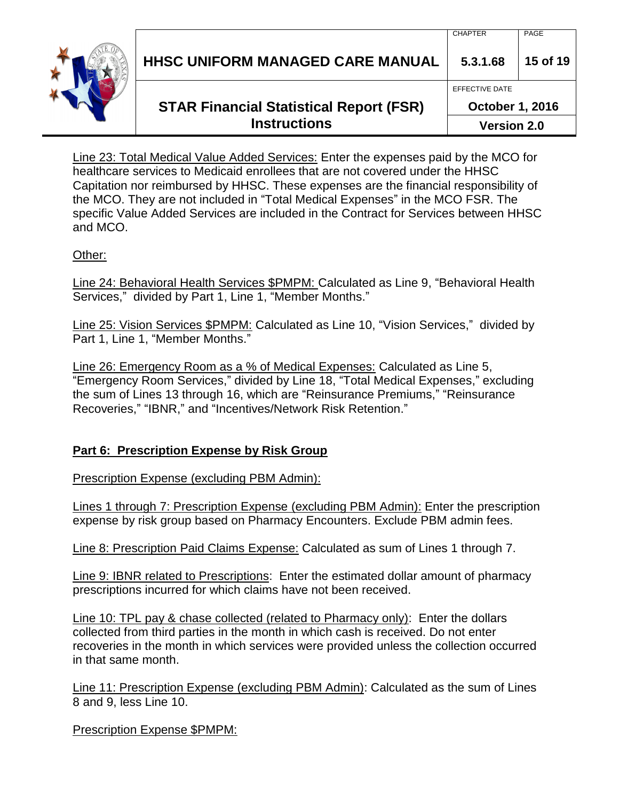

Line 23: Total Medical Value Added Services: Enter the expenses paid by the MCO for healthcare services to Medicaid enrollees that are not covered under the HHSC Capitation nor reimbursed by HHSC. These expenses are the financial responsibility of the MCO. They are not included in "Total Medical Expenses" in the MCO FSR. The specific Value Added Services are included in the Contract for Services between HHSC and MCO.

#### Other:

Line 24: Behavioral Health Services \$PMPM: Calculated as Line 9, "Behavioral Health Services," divided by Part 1, Line 1, "Member Months."

Line 25: Vision Services \$PMPM: Calculated as Line 10, "Vision Services," divided by Part 1, Line 1, "Member Months."

Line 26: Emergency Room as a % of Medical Expenses: Calculated as Line 5, "Emergency Room Services," divided by Line 18, "Total Medical Expenses," excluding the sum of Lines 13 through 16, which are "Reinsurance Premiums," "Reinsurance Recoveries," "IBNR," and "Incentives/Network Risk Retention."

### **Part 6: Prescription Expense by Risk Group**

Prescription Expense (excluding PBM Admin):

Lines 1 through 7: Prescription Expense (excluding PBM Admin): Enter the prescription expense by risk group based on Pharmacy Encounters. Exclude PBM admin fees.

Line 8: Prescription Paid Claims Expense: Calculated as sum of Lines 1 through 7.

Line 9: IBNR related to Prescriptions: Enter the estimated dollar amount of pharmacy prescriptions incurred for which claims have not been received.

Line 10: TPL pay & chase collected (related to Pharmacy only): Enter the dollars collected from third parties in the month in which cash is received. Do not enter recoveries in the month in which services were provided unless the collection occurred in that same month.

Line 11: Prescription Expense (excluding PBM Admin): Calculated as the sum of Lines 8 and 9, less Line 10.

Prescription Expense \$PMPM: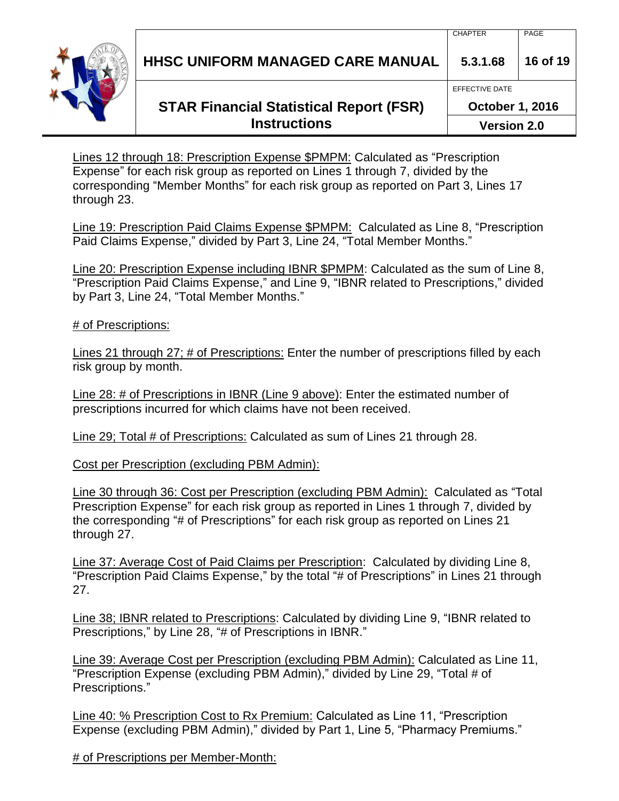**HHSC UNIFORM MANAGED CARE MANUAL 5.3.1.68 16 of 19**

# **STAR Financial Statistical Report (FSR) Instructions**

Lines 12 through 18: Prescription Expense \$PMPM: Calculated as "Prescription Expense" for each risk group as reported on Lines 1 through 7, divided by the corresponding "Member Months" for each risk group as reported on Part 3, Lines 17 through 23.

Line 19: Prescription Paid Claims Expense \$PMPM: Calculated as Line 8, "Prescription Paid Claims Expense," divided by Part 3, Line 24, "Total Member Months."

Line 20: Prescription Expense including IBNR \$PMPM: Calculated as the sum of Line 8, "Prescription Paid Claims Expense," and Line 9, "IBNR related to Prescriptions," divided by Part 3, Line 24, "Total Member Months."

# of Prescriptions:

Lines 21 through 27; # of Prescriptions: Enter the number of prescriptions filled by each risk group by month.

Line 28: # of Prescriptions in IBNR (Line 9 above): Enter the estimated number of prescriptions incurred for which claims have not been received.

Line 29; Total # of Prescriptions: Calculated as sum of Lines 21 through 28.

Cost per Prescription (excluding PBM Admin):

Line 30 through 36: Cost per Prescription (excluding PBM Admin): Calculated as "Total Prescription Expense" for each risk group as reported in Lines 1 through 7, divided by the corresponding "# of Prescriptions" for each risk group as reported on Lines 21 through 27.

Line 37: Average Cost of Paid Claims per Prescription: Calculated by dividing Line 8, "Prescription Paid Claims Expense," by the total "# of Prescriptions" in Lines 21 through 27.

Line 38; IBNR related to Prescriptions: Calculated by dividing Line 9, "IBNR related to Prescriptions," by Line 28, "# of Prescriptions in IBNR."

Line 39: Average Cost per Prescription (excluding PBM Admin): Calculated as Line 11, "Prescription Expense (excluding PBM Admin)," divided by Line 29, "Total # of Prescriptions."

Line 40: % Prescription Cost to Rx Premium: Calculated as Line 11, "Prescription Expense (excluding PBM Admin)," divided by Part 1, Line 5, "Pharmacy Premiums."

# of Prescriptions per Member-Month:



EFFECTIVE DATE

**October 1, 2016**

**Version 2.0**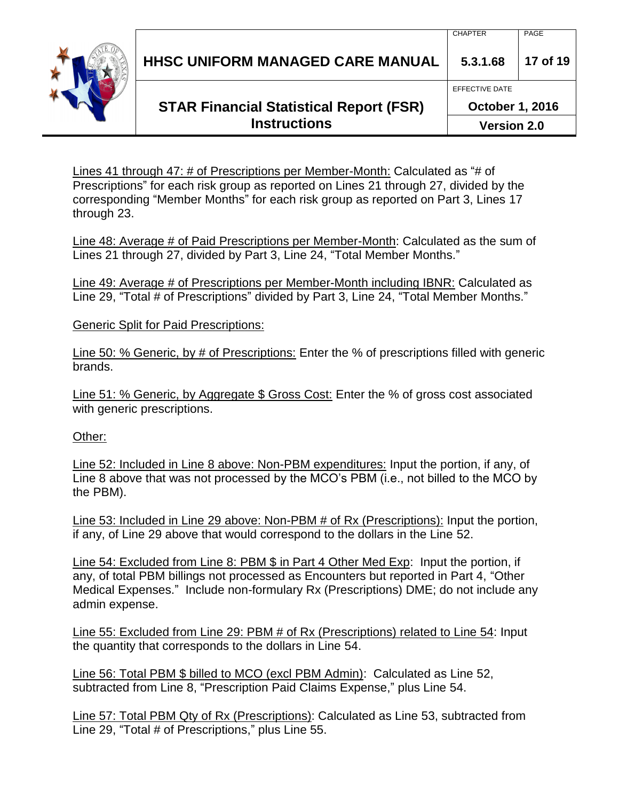**HHSC UNIFORM MANAGED CARE MANUAL 5.3.1.68 17 of 19**

# **STAR Financial Statistical Report (FSR) Instructions**

**October 1, 2016**

**Version 2.0**

EFFECTIVE DATE

Lines 41 through 47: # of Prescriptions per Member-Month: Calculated as "# of Prescriptions" for each risk group as reported on Lines 21 through 27, divided by the corresponding "Member Months" for each risk group as reported on Part 3, Lines 17 through 23.

Line 48: Average # of Paid Prescriptions per Member-Month: Calculated as the sum of Lines 21 through 27, divided by Part 3, Line 24, "Total Member Months."

Line 49: Average # of Prescriptions per Member-Month including IBNR: Calculated as Line 29, "Total # of Prescriptions" divided by Part 3, Line 24, "Total Member Months."

Generic Split for Paid Prescriptions:

Line 50: % Generic, by # of Prescriptions: Enter the % of prescriptions filled with generic brands.

Line 51: % Generic, by Aggregate \$ Gross Cost: Enter the % of gross cost associated with generic prescriptions.

#### Other:

Line 52: Included in Line 8 above: Non-PBM expenditures: Input the portion, if any, of Line 8 above that was not processed by the MCO's PBM (i.e., not billed to the MCO by the PBM).

Line 53: Included in Line 29 above: Non-PBM # of Rx (Prescriptions): Input the portion, if any, of Line 29 above that would correspond to the dollars in the Line 52.

Line 54: Excluded from Line 8: PBM \$ in Part 4 Other Med Exp: Input the portion, if any, of total PBM billings not processed as Encounters but reported in Part 4, "Other Medical Expenses." Include non-formulary Rx (Prescriptions) DME; do not include any admin expense.

Line 55: Excluded from Line 29: PBM # of Rx (Prescriptions) related to Line 54: Input the quantity that corresponds to the dollars in Line 54.

Line 56: Total PBM \$ billed to MCO (excl PBM Admin): Calculated as Line 52, subtracted from Line 8, "Prescription Paid Claims Expense," plus Line 54.

Line 57: Total PBM Qty of Rx (Prescriptions): Calculated as Line 53, subtracted from Line 29, "Total # of Prescriptions," plus Line 55.

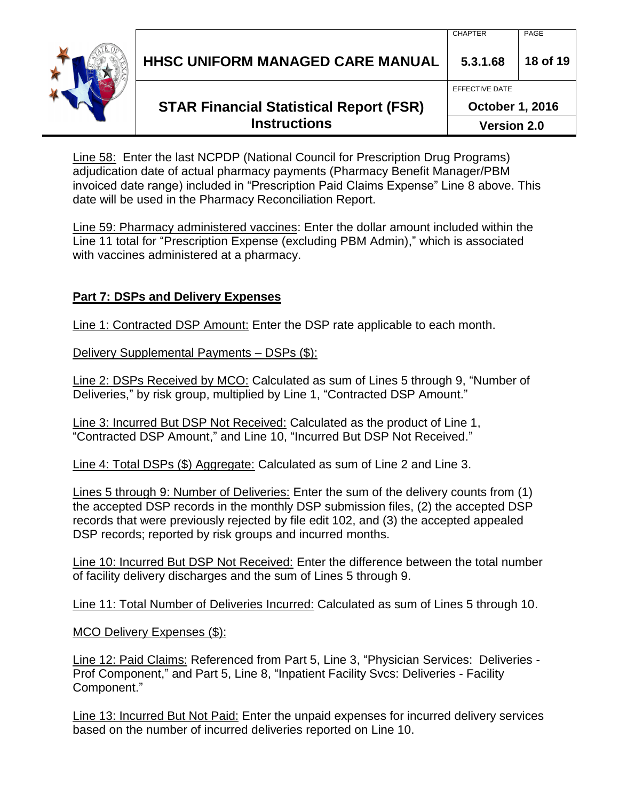| <b>HHSC UNIFORM MANAGED CARE MANUAL</b>        | 5.3.1.68<br>EFFECTIVE DATE | 18 of 19 |
|------------------------------------------------|----------------------------|----------|
| <b>STAR Financial Statistical Report (FSR)</b> | <b>October 1, 2016</b>     |          |

**Version 2.0**

Line 58: Enter the last NCPDP (National Council for Prescription Drug Programs) adjudication date of actual pharmacy payments (Pharmacy Benefit Manager/PBM invoiced date range) included in "Prescription Paid Claims Expense" Line 8 above. This date will be used in the Pharmacy Reconciliation Report.

**Instructions**

Line 59: Pharmacy administered vaccines: Enter the dollar amount included within the Line 11 total for "Prescription Expense (excluding PBM Admin)," which is associated with vaccines administered at a pharmacy.

## **Part 7: DSPs and Delivery Expenses**

Line 1: Contracted DSP Amount: Enter the DSP rate applicable to each month.

Delivery Supplemental Payments – DSPs (\$):

Line 2: DSPs Received by MCO: Calculated as sum of Lines 5 through 9, "Number of Deliveries," by risk group, multiplied by Line 1, "Contracted DSP Amount."

Line 3: Incurred But DSP Not Received: Calculated as the product of Line 1, "Contracted DSP Amount," and Line 10, "Incurred But DSP Not Received."

Line 4: Total DSPs (\$) Aggregate: Calculated as sum of Line 2 and Line 3.

Lines 5 through 9: Number of Deliveries: Enter the sum of the delivery counts from (1) the accepted DSP records in the monthly DSP submission files, (2) the accepted DSP records that were previously rejected by file edit 102, and (3) the accepted appealed DSP records; reported by risk groups and incurred months.

Line 10: Incurred But DSP Not Received: Enter the difference between the total number of facility delivery discharges and the sum of Lines 5 through 9.

Line 11: Total Number of Deliveries Incurred: Calculated as sum of Lines 5 through 10.

MCO Delivery Expenses (\$):

Line 12: Paid Claims: Referenced from Part 5, Line 3, "Physician Services: Deliveries - Prof Component," and Part 5, Line 8, "Inpatient Facility Svcs: Deliveries - Facility Component."

Line 13: Incurred But Not Paid: Enter the unpaid expenses for incurred delivery services based on the number of incurred deliveries reported on Line 10.